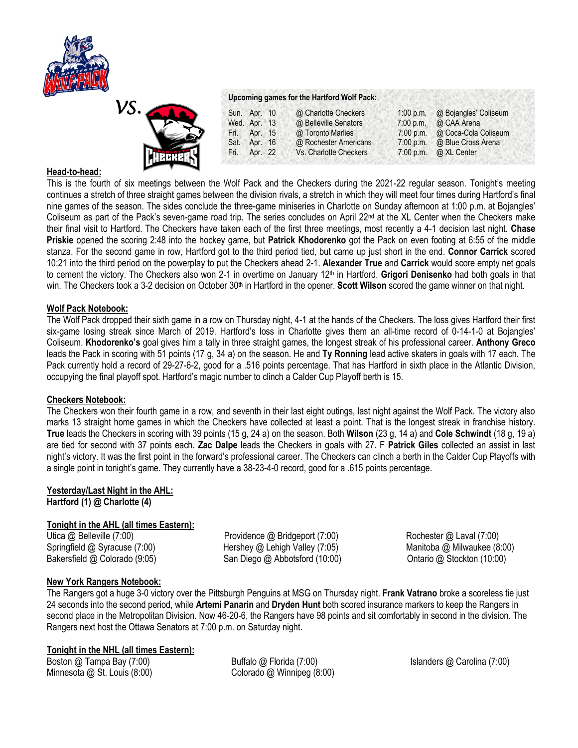



#### **Upcoming games for the Hartford Wolf Pack:**

| <b>TEXT</b>        | Sun. Apr. 10 | @ Charlotte Checkers   | 1:00 p.m.   | @ Bojangles' Coliseum |
|--------------------|--------------|------------------------|-------------|-----------------------|
|                    | Wed. Apr. 13 | @ Belleville Senators  | $7:00$ p.m. | @ CAA Arena           |
| 3                  | Fri. Apr. 15 | @ Toronto Marlies      | 7:00 p.m.   | @ Coca-Cola Coliseum  |
| Sat.               | Apr. 16      | @ Rochester Americans  | $7:00$ p.m. | @ Blue Cross Arena    |
| <b>THK</b><br>Fri. | Apr. 22      | Vs. Charlotte Checkers | 7:00 p.m.   | @ XL Center           |

# **Head-to-head:**

This is the fourth of six meetings between the Wolf Pack and the Checkers during the 2021-22 regular season. Tonight's meeting continues a stretch of three straight games between the division rivals, a stretch in which they will meet four times during Hartford's final nine games of the season. The sides conclude the three-game miniseries in Charlotte on Sunday afternoon at 1:00 p.m. at Bojangles' Coliseum as part of the Pack's seven-game road trip. The series concludes on April 22<sup>nd</sup> at the XL Center when the Checkers make their final visit to Hartford. The Checkers have taken each of the first three meetings, most recently a 4-1 decision last night. **Chase Priskie** opened the scoring 2:48 into the hockey game, but **Patrick Khodorenko** got the Pack on even footing at 6:55 of the middle stanza. For the second game in row, Hartford got to the third period tied, but came up just short in the end. **Connor Carrick** scored 10:21 into the third period on the powerplay to put the Checkers ahead 2-1. **Alexander True** and **Carrick** would score empty net goals to cement the victory. The Checkers also won 2-1 in overtime on January 12th in Hartford. **Grigori Denisenko** had both goals in that win. The Checkers took a 3-2 decision on October 30<sup>th</sup> in Hartford in the opener. **Scott Wilson** scored the game winner on that night.

# **Wolf Pack Notebook:**

The Wolf Pack dropped their sixth game in a row on Thursday night, 4-1 at the hands of the Checkers. The loss gives Hartford their first six-game losing streak since March of 2019. Hartford's loss in Charlotte gives them an all-time record of 0-14-1-0 at Bojangles' Coliseum. **Khodorenko's** goal gives him a tally in three straight games, the longest streak of his professional career. **Anthony Greco** leads the Pack in scoring with 51 points (17 g, 34 a) on the season. He and **Ty Ronning** lead active skaters in goals with 17 each. The Pack currently hold a record of 29-27-6-2, good for a .516 points percentage. That has Hartford in sixth place in the Atlantic Division, occupying the final playoff spot. Hartford's magic number to clinch a Calder Cup Playoff berth is 15.

# **Checkers Notebook:**

The Checkers won their fourth game in a row, and seventh in their last eight outings, last night against the Wolf Pack. The victory also marks 13 straight home games in which the Checkers have collected at least a point. That is the longest streak in franchise history. **True** leads the Checkers in scoring with 39 points (15 g, 24 a) on the season. Both **Wilson** (23 g, 14 a) and **Cole Schwindt** (18 g, 19 a) are tied for second with 37 points each. **Zac Dalpe** leads the Checkers in goals with 27. F **Patrick Giles** collected an assist in last night's victory. It was the first point in the forward's professional career. The Checkers can clinch a berth in the Calder Cup Playoffs with a single point in tonight's game. They currently have a 38-23-4-0 record, good for a .615 points percentage.

# **Yesterday/Last Night in the AHL: Hartford (1) @ Charlotte (4)**

# **Tonight in the AHL (all times Eastern):**

Bakersfield @ Colorado (9:05) San Diego @ Abbotsford (10:00) Ontario @ Stockton (10:00)

Utica @ Belleville (7:00) Providence @ Bridgeport (7:00) Rochester @ Laval (7:00) Springfield @ Syracuse (7:00) Hershey @ Lehigh Valley (7:05) Manitoba @ Milwaukee (8:00)

# **New York Rangers Notebook:**

The Rangers got a huge 3-0 victory over the Pittsburgh Penguins at MSG on Thursday night. **Frank Vatrano** broke a scoreless tie just 24 seconds into the second period, while **Artemi Panarin** and **Dryden Hunt** both scored insurance markers to keep the Rangers in second place in the Metropolitan Division. Now 46-20-6, the Rangers have 98 points and sit comfortably in second in the division. The Rangers next host the Ottawa Senators at 7:00 p.m. on Saturday night.

# **Tonight in the NHL (all times Eastern):**

Boston @ Tampa Bay (7:00) Buffalo @ Florida (7:00) Islanders @ Carolina (7:00) Minnesota @ St. Louis (8:00) Colorado @ Winnipeg (8:00)